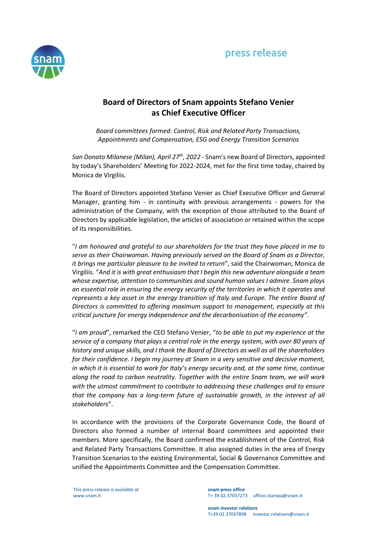# press release



## **Board of Directors of Snam appoints Stefano Venier as Chief Executive Officer**

*Board committees formed: Control, Risk and Related Party Transactions, Appointments and Compensation, ESG and Energy Transition Scenarios*

*San Donato Milanese (Milan), April 27th , 2022* - Snam's new Board of Directors, appointed by today's Shareholders' Meeting for 2022-2024, met for the first time today, chaired by Monica de Virgiliis.

The Board of Directors appointed Stefano Venier as Chief Executive Officer and General Manager, granting him - in continuity with previous arrangements - powers for the administration of the Company, with the exception of those attributed to the Board of Directors by applicable legislation, the articles of association or retained within the scope of its responsibilities.

"*I am honoured and grateful to our shareholders for the trust they have placed in me to serve as their Chairwoman. Having previously served on the Board of Snam as a Director, it brings me particular pleasure to be invited to return*", said the Chairwoman, Monica de Virgiliis. "*And it is with great enthusiasm that I begin this new adventure alongside a team whose expertise, attention to communities and sound human values I admire. Snam plays an essential role in ensuring the energy security of the territories in which it operates and represents a key asset in the energy transition of Italy and Europe. The entire Board of Directors is committed to offering maximum support to management, especially at this critical juncture for energy independence and the decarbonisation of the economy".*

"*I am proud*", remarked the CEO Stefano Venier, "*to be able to put my experience at the service of a company that plays a central role in the energy system, with over 80 years of history and unique skills, and I thank the Board of Directors as well as all the shareholders for their confidence. I begin my journey at Snam in a very sensitive and decisive moment, in which it is essential to work for Italy's energy security and, at the same time, continue along the road to carbon neutrality. Together with the entire Snam team, we will work with the utmost commitment to contribute to addressing these challenges and to ensure that the company has a long-term future of sustainable growth, in the interest of all stakeholders*".

In accordance with the provisions of the Corporate Governance Code, the Board of Directors also formed a number of internal Board committees and appointed their members. More specifically, the Board confirmed the establishment of the Control, Risk and Related Party Transactions Committee. It also assigned duties in the area of Energy Transition Scenarios to the existing Environmental, Social & Governance Committee and unified the Appointments Committee and the Compensation Committee.

This press release is available at www.snam.it

**snam press office** T+ 39 02.37037273 ufficio.stampa@snam.it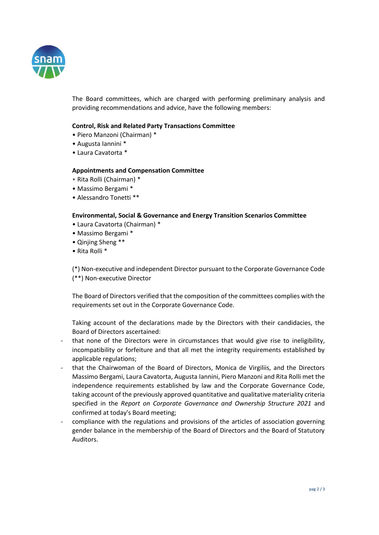

The Board committees, which are charged with performing preliminary analysis and providing recommendations and advice, have the following members:

## **Control, Risk and Related Party Transactions Committee**

- Piero Manzoni (Chairman) \*
- Augusta Iannini \*
- Laura Cavatorta \*

### **Appointments and Compensation Committee**

- Rita Rolli (Chairman) \*
- Massimo Bergami \*
- Alessandro Tonetti \*\*

### **Environmental, Social & Governance and Energy Transition Scenarios Committee**

- Laura Cavatorta (Chairman) \*
- Massimo Bergami \*
- Qinjing Sheng \*\*
- Rita Rolli \*

(\*) Non-executive and independent Director pursuant to the Corporate Governance Code (\*\*) Non-executive Director

The Board of Directors verified that the composition of the committees complies with the requirements set out in the Corporate Governance Code.

Taking account of the declarations made by the Directors with their candidacies, the Board of Directors ascertained:

- that none of the Directors were in circumstances that would give rise to ineligibility, incompatibility or forfeiture and that all met the integrity requirements established by applicable regulations;
- that the Chairwoman of the Board of Directors, Monica de Virgiliis, and the Directors Massimo Bergami, Laura Cavatorta, Augusta Iannini, Piero Manzoni and Rita Rolli met the independence requirements established by law and the Corporate Governance Code, taking account of the previously approved quantitative and qualitative materiality criteria specified in the *Report on Corporate Governance and Ownership Structure 2021* and confirmed at today's Board meeting;
- compliance with the regulations and provisions of the articles of association governing gender balance in the membership of the Board of Directors and the Board of Statutory Auditors.